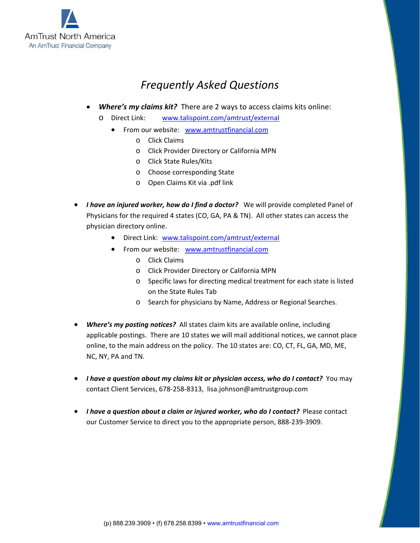

# *Frequently Asked Questions*

- *Where's my claims kit?* There are 2 ways to access claims kits online:
	- o Direct Link: www.talispoint.com/amtrust/external
		- From our website: www.amtrustfinancial.com
			- o Click Claims
			- o Click Provider Directory or California MPN
			- o Click State Rules/Kits
			- o Choose corresponding State
			- o Open Claims Kit via .pdf link
- I have an injured worker, how do I find a doctor? We will provide completed Panel of Physicians for the required 4 states (CO, GA, PA & TN). All other states can access the physician directory online.
	- Direct Link: www.talispoint.com/amtrust/external
	- From our website: www.amtrustfinancial.com
		- o Click Claims
		- o Click Provider Directory or California MPN
		- o Specific laws for directing medical treatment for each state is listed on the State Rules Tab
		- o Search for physicians by Name, Address or Regional Searches.
- **Where's my posting notices?** All states claim kits are available online, including applicable postings. There are 10 states we will mail additional notices, we cannot place online, to the main address on the policy. The 10 states are: CO, CT, FL, GA, MD, ME, NC, NY, PA and TN.
- *I have a question about my claims kit or physician access, who do I contact?* You may contact Client Services, 678‐258‐8313, lisa.johnson@amtrustgroup.com
- **I have a question about a claim or injured worker, who do I contact?** Please contact our Customer Service to direct you to the appropriate person, 888‐239‐3909.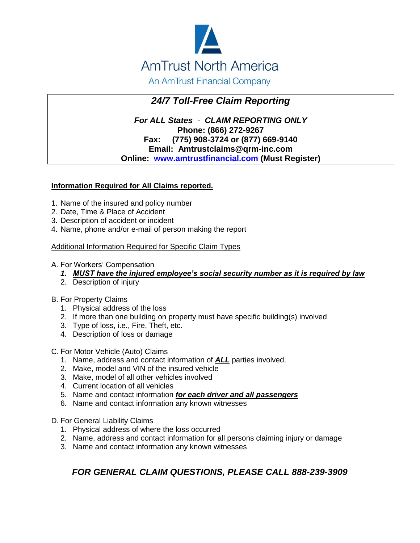

An AmTrust Financial Company

## *24/7 Toll-Free Claim Reporting*

*For ALL States* - *CLAIM REPORTING ONLY* **Phone: (866) 272-9267 Fax: (775) 908-3724 or (877) 669-9140 Email: Amtrustclaims@qrm-inc.com Online: [www.amtrustfinancial.com](http://www.amtrustfinancial.com/) (Must Register)**

#### **Information Required for All Claims reported.**

- 1. Name of the insured and policy number
- 2. Date, Time & Place of Accident
- 3. Description of accident or incident
- 4. Name, phone and/or e-mail of person making the report

#### Additional Information Required for Specific Claim Types

#### A. For Workers' Compensation

- *1. MUST have the injured employee's social security number as it is required by law*
- 2. Description of injury

#### B. For Property Claims

- 1. Physical address of the loss
- 2. If more than one building on property must have specific building(s) involved
- 3. Type of loss, i.e., Fire, Theft, etc.
- 4. Description of loss or damage
- C. For Motor Vehicle (Auto) Claims
	- 1. Name, address and contact information of *ALL* parties involved.
	- 2. Make, model and VIN of the insured vehicle
	- 3. Make, model of all other vehicles involved
	- 4. Current location of all vehicles
	- 5. Name and contact information *for each driver and all passengers*
	- 6. Name and contact information any known witnesses
- D. For General Liability Claims
	- 1. Physical address of where the loss occurred
	- 2. Name, address and contact information for all persons claiming injury or damage
	- 3. Name and contact information any known witnesses

### *FOR GENERAL CLAIM QUESTIONS, PLEASE CALL 888-239-3909*